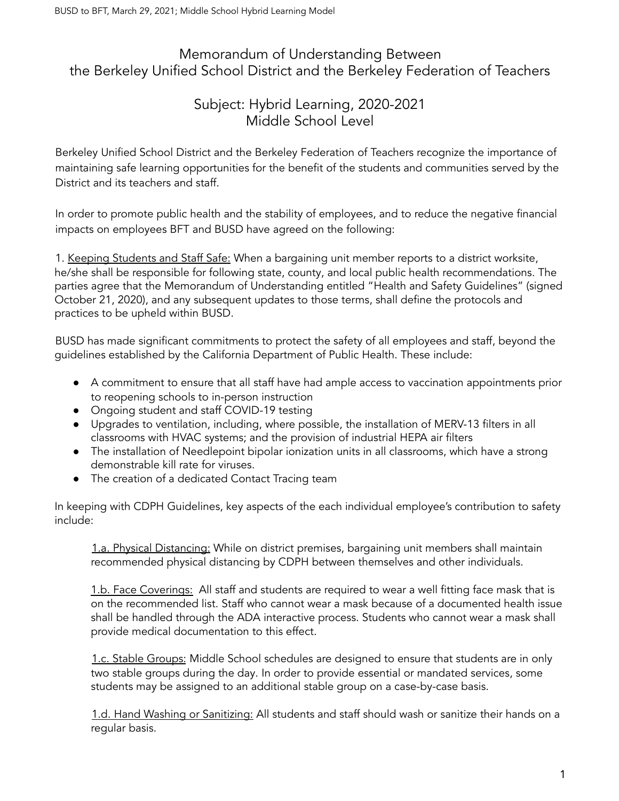# Memorandum of Understanding Between the Berkeley Unified School District and the Berkeley Federation of Teachers

# Subject: Hybrid Learning, 2020-2021 Middle School Level

Berkeley Unified School District and the Berkeley Federation of Teachers recognize the importance of maintaining safe learning opportunities for the benefit of the students and communities served by the District and its teachers and staff.

In order to promote public health and the stability of employees, and to reduce the negative financial impacts on employees BFT and BUSD have agreed on the following:

1. Keeping Students and Staff Safe: When a bargaining unit member reports to a district worksite, he/she shall be responsible for following state, county, and local public health recommendations. The parties agree that the Memorandum of Understanding entitled "Health and Safety Guidelines" (signed October 21, 2020), and any subsequent updates to those terms, shall define the protocols and practices to be upheld within BUSD.

BUSD has made significant commitments to protect the safety of all employees and staff, beyond the guidelines established by the California Department of Public Health. These include:

- A commitment to ensure that all staff have had ample access to vaccination appointments prior to reopening schools to in-person instruction
- Ongoing student and staff COVID-19 testing
- Upgrades to ventilation, including, where possible, the installation of MERV-13 filters in all classrooms with HVAC systems; and the provision of industrial HEPA air filters
- The installation of Needlepoint bipolar ionization units in all classrooms, which have a strong demonstrable kill rate for viruses.
- The creation of a dedicated Contact Tracing team

In keeping with CDPH Guidelines, key aspects of the each individual employee's contribution to safety include:

1.a. Physical Distancing: While on district premises, bargaining unit members shall maintain recommended physical distancing by CDPH between themselves and other individuals.

1.b. Face Coverings: All staff and students are required to wear a well fitting face mask that is on the recommended list. Staff who cannot wear a mask because of a documented health issue shall be handled through the ADA interactive process. Students who cannot wear a mask shall provide medical documentation to this effect.

1.c. Stable Groups: Middle School schedules are designed to ensure that students are in only two stable groups during the day. In order to provide essential or mandated services, some students may be assigned to an additional stable group on a case-by-case basis.

1.d. Hand Washing or Sanitizing: All students and staff should wash or sanitize their hands on a regular basis.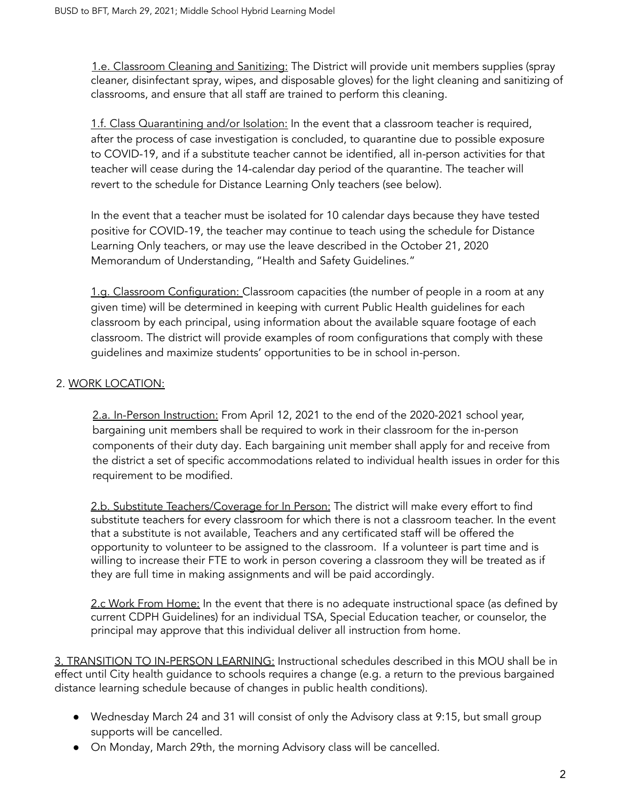1.e. Classroom Cleaning and Sanitizing: The District will provide unit members supplies (spray cleaner, disinfectant spray, wipes, and disposable gloves) for the light cleaning and sanitizing of classrooms, and ensure that all staff are trained to perform this cleaning.

1.f. Class Quarantining and/or Isolation: In the event that a classroom teacher is required, after the process of case investigation is concluded, to quarantine due to possible exposure to COVID-19, and if a substitute teacher cannot be identified, all in-person activities for that teacher will cease during the 14-calendar day period of the quarantine. The teacher will revert to the schedule for Distance Learning Only teachers (see below).

In the event that a teacher must be isolated for 10 calendar days because they have tested positive for COVID-19, the teacher may continue to teach using the schedule for Distance Learning Only teachers, or may use the leave described in the October 21, 2020 Memorandum of Understanding, "Health and Safety Guidelines."

1.g. Classroom Configuration: Classroom capacities (the number of people in a room at any given time) will be determined in keeping with current Public Health guidelines for each classroom by each principal, using information about the available square footage of each classroom. The district will provide examples of room configurations that comply with these guidelines and maximize students' opportunities to be in school in-person.

### 2. WORK LOCATION:

2.a. In-Person Instruction: From April 12, 2021 to the end of the 2020-2021 school year, bargaining unit members shall be required to work in their classroom for the in-person components of their duty day. Each bargaining unit member shall apply for and receive from the district a set of specific accommodations related to individual health issues in order for this requirement to be modified.

2.b. Substitute Teachers/Coverage for In Person: The district will make every effort to find substitute teachers for every classroom for which there is not a classroom teacher. In the event that a substitute is not available, Teachers and any certificated staff will be offered the opportunity to volunteer to be assigned to the classroom. If a volunteer is part time and is willing to increase their FTE to work in person covering a classroom they will be treated as if they are full time in making assignments and will be paid accordingly.

2.c Work From Home: In the event that there is no adequate instructional space (as defined by current CDPH Guidelines) for an individual TSA, Special Education teacher, or counselor, the principal may approve that this individual deliver all instruction from home.

3. TRANSITION TO IN-PERSON LEARNING: Instructional schedules described in this MOU shall be in effect until City health guidance to schools requires a change (e.g. a return to the previous bargained distance learning schedule because of changes in public health conditions).

- Wednesday March 24 and 31 will consist of only the Advisory class at 9:15, but small group supports will be cancelled.
- On Monday, March 29th, the morning Advisory class will be cancelled.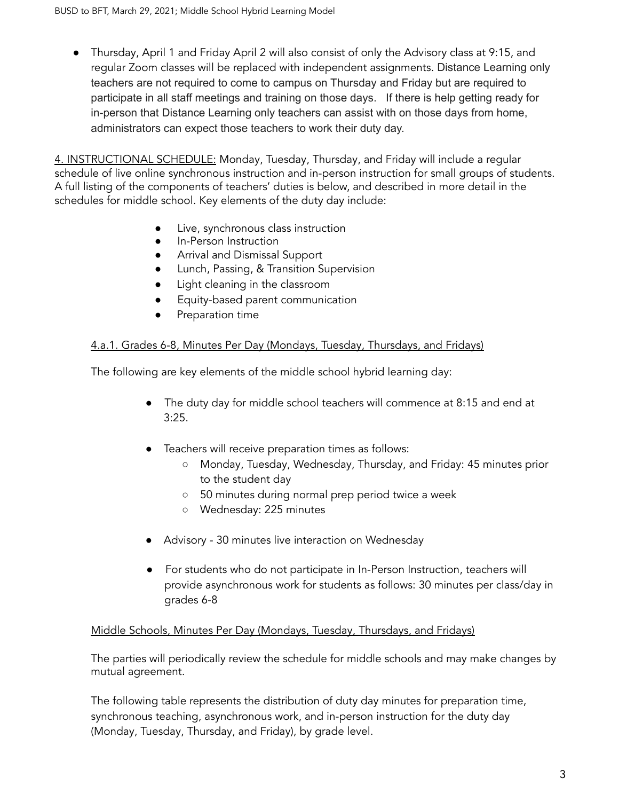● Thursday, April 1 and Friday April 2 will also consist of only the Advisory class at 9:15, and regular Zoom classes will be replaced with independent assignments. Distance Learning only teachers are not required to come to campus on Thursday and Friday but are required to participate in all staff meetings and training on those days. If there is help getting ready for in-person that Distance Learning only teachers can assist with on those days from home, administrators can expect those teachers to work their duty day.

4. INSTRUCTIONAL SCHEDULE: Monday, Tuesday, Thursday, and Friday will include a regular schedule of live online synchronous instruction and in-person instruction for small groups of students. A full listing of the components of teachers' duties is below, and described in more detail in the schedules for middle school. Key elements of the duty day include:

- Live, synchronous class instruction
- In-Person Instruction
- **•** Arrival and Dismissal Support
- Lunch, Passing, & Transition Supervision
- Light cleaning in the classroom
- Equity-based parent communication
- Preparation time

#### 4.a.1. Grades 6-8, Minutes Per Day (Mondays, Tuesday, Thursdays, and Fridays)

The following are key elements of the middle school hybrid learning day:

- The duty day for middle school teachers will commence at 8:15 and end at 3:25.
- Teachers will receive preparation times as follows:
	- Monday, Tuesday, Wednesday, Thursday, and Friday: 45 minutes prior to the student day
	- 50 minutes during normal prep period twice a week
	- Wednesday: 225 minutes
- Advisory 30 minutes live interaction on Wednesday
- For students who do not participate in In-Person Instruction, teachers will provide asynchronous work for students as follows: 30 minutes per class/day in grades 6-8

#### Middle Schools, Minutes Per Day (Mondays, Tuesday, Thursdays, and Fridays)

The parties will periodically review the schedule for middle schools and may make changes by mutual agreement.

The following table represents the distribution of duty day minutes for preparation time, synchronous teaching, asynchronous work, and in-person instruction for the duty day (Monday, Tuesday, Thursday, and Friday), by grade level.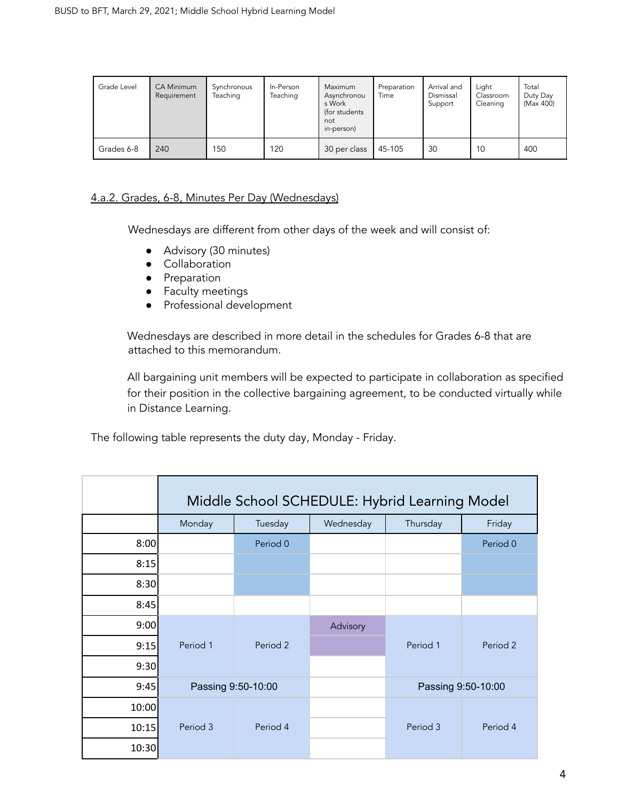| Grade Level | <b>CA Minimum</b><br>Requirement | Synchronous<br>Teaching | In-Person<br>Teaching | Maximum<br>Asynchronou<br>s Work<br>(for students)<br>not<br>in-person) | Preparation<br>Time | Arrival and<br>Dismissal<br>Support | Light<br>Classroom<br>Cleaning | Total<br>Duty Day<br>(Max 400) |
|-------------|----------------------------------|-------------------------|-----------------------|-------------------------------------------------------------------------|---------------------|-------------------------------------|--------------------------------|--------------------------------|
| Grades 6-8  | 240                              | 150                     | 120                   | 30 per class                                                            | 45-105              | 30                                  | 10                             | 400                            |

#### 4.a.2. Grades, 6-8, Minutes Per Day (Wednesdays)

Wednesdays are different from other days of the week and will consist of:

- Advisory (30 minutes)
- Collaboration
- Preparation
- Faculty meetings
- Professional development

Wednesdays are described in more detail in the schedules for Grades 6-8 that are attached to this memorandum.

All bargaining unit members will be expected to participate in collaboration as specified for their position in the collective bargaining agreement, to be conducted virtually while in Distance Learning.

The following table represents the duty day, Monday - Friday.

|       | Middle School SCHEDULE: Hybrid Learning Model |          |           |                    |          |  |
|-------|-----------------------------------------------|----------|-----------|--------------------|----------|--|
|       | Monday                                        | Tuesday  | Wednesday | Thursday           | Friday   |  |
| 8:00  |                                               | Period 0 |           |                    | Period 0 |  |
| 8:15  |                                               |          |           |                    |          |  |
| 8:30  |                                               |          |           |                    |          |  |
| 8:45  |                                               |          |           |                    |          |  |
| 9:00  |                                               |          | Advisory  |                    |          |  |
| 9:15  | Period 1                                      | Period 2 |           | Period 1           | Period 2 |  |
| 9:30  |                                               |          |           |                    |          |  |
| 9:45  | Passing 9:50-10:00                            |          |           | Passing 9:50-10:00 |          |  |
| 10:00 |                                               |          |           |                    |          |  |
| 10:15 | Period 3                                      | Period 4 |           | Period 3           | Period 4 |  |
| 10:30 |                                               |          |           |                    |          |  |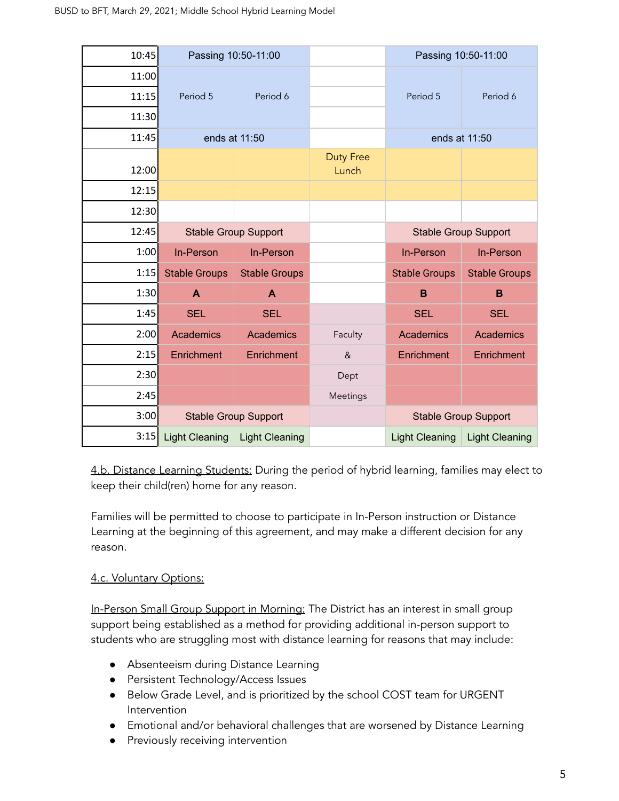| 10:45 | Passing 10:50-11:00         |                             |                           | Passing 10:50-11:00         |                             |  |
|-------|-----------------------------|-----------------------------|---------------------------|-----------------------------|-----------------------------|--|
| 11:00 |                             |                             |                           |                             |                             |  |
| 11:15 | Period 5                    | Period 6                    |                           | Period 5                    | Period 6                    |  |
| 11:30 |                             |                             |                           |                             |                             |  |
| 11:45 | ends at 11:50               |                             |                           | ends at 11:50               |                             |  |
| 12:00 |                             |                             | <b>Duty Free</b><br>Lunch |                             |                             |  |
| 12:15 |                             |                             |                           |                             |                             |  |
| 12:30 |                             |                             |                           |                             |                             |  |
| 12:45 | <b>Stable Group Support</b> |                             |                           | <b>Stable Group Support</b> |                             |  |
| 1:00  | In-Person                   | In-Person                   |                           | In-Person                   | In-Person                   |  |
| 1:15  | <b>Stable Groups</b>        | <b>Stable Groups</b>        |                           | <b>Stable Groups</b>        | <b>Stable Groups</b>        |  |
| 1:30  | $\mathbf{A}$                | A                           |                           | B                           | B                           |  |
| 1:45  | <b>SEL</b>                  | <b>SEL</b>                  |                           | <b>SEL</b>                  | <b>SEL</b>                  |  |
| 2:00  | Academics                   | <b>Academics</b>            | Faculty                   | <b>Academics</b>            | Academics                   |  |
| 2:15  | Enrichment                  | Enrichment                  | 8 <sup>2</sup>            | Enrichment                  | Enrichment                  |  |
|       |                             |                             |                           |                             |                             |  |
| 2:30  |                             |                             | Dept                      |                             |                             |  |
| 2:45  |                             |                             | Meetings                  |                             |                             |  |
| 3:00  |                             | <b>Stable Group Support</b> |                           |                             | <b>Stable Group Support</b> |  |

4.b. Distance Learning Students: During the period of hybrid learning, families may elect to keep their child(ren) home for any reason.

Families will be permitted to choose to participate in In-Person instruction or Distance Learning at the beginning of this agreement, and may make a different decision for any reason.

### **4.c. Voluntary Options:**

In-Person Small Group Support in Morning: The District has an interest in small group support being established as a method for providing additional in-person support to students who are struggling most with distance learning for reasons that may include:

- Absenteeism during Distance Learning
- Persistent Technology/Access Issues
- Below Grade Level, and is prioritized by the school COST team for URGENT Intervention
- Emotional and/or behavioral challenges that are worsened by Distance Learning
- Previously receiving intervention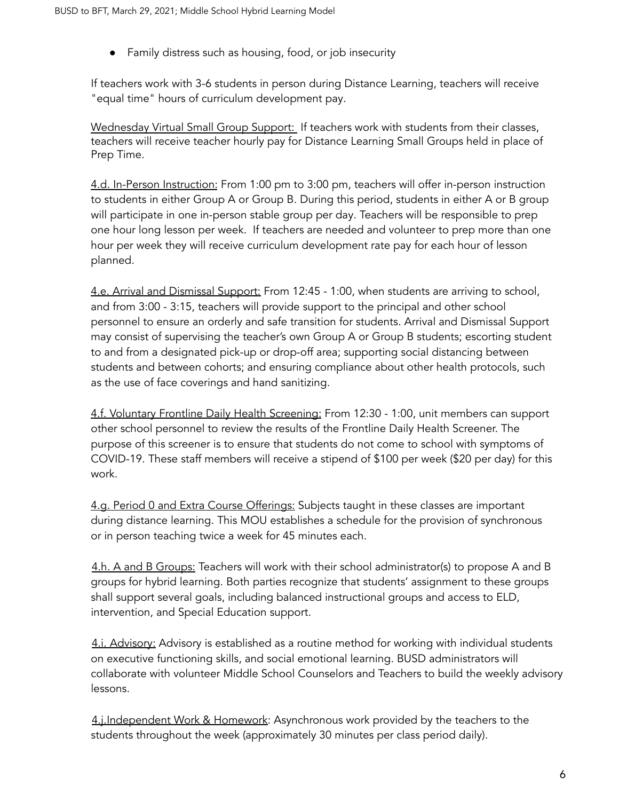● Family distress such as housing, food, or job insecurity

If teachers work with 3-6 students in person during Distance Learning, teachers will receive "equal time" hours of curriculum development pay.

Wednesday Virtual Small Group Support: If teachers work with students from their classes, teachers will receive teacher hourly pay for Distance Learning Small Groups held in place of Prep Time.

4.d. In-Person Instruction: From 1:00 pm to 3:00 pm, teachers will offer in-person instruction to students in either Group A or Group B. During this period, students in either A or B group will participate in one in-person stable group per day. Teachers will be responsible to prep one hour long lesson per week. If teachers are needed and volunteer to prep more than one hour per week they will receive curriculum development rate pay for each hour of lesson planned.

4.e. Arrival and Dismissal Support: From 12:45 - 1:00, when students are arriving to school, and from 3:00 - 3:15, teachers will provide support to the principal and other school personnel to ensure an orderly and safe transition for students. Arrival and Dismissal Support may consist of supervising the teacher's own Group A or Group B students; escorting student to and from a designated pick-up or drop-off area; supporting social distancing between students and between cohorts; and ensuring compliance about other health protocols, such as the use of face coverings and hand sanitizing.

4.f. Voluntary Frontline Daily Health Screening: From 12:30 - 1:00, unit members can support other school personnel to review the results of the Frontline Daily Health Screener. The purpose of this screener is to ensure that students do not come to school with symptoms of COVID-19. These staff members will receive a stipend of \$100 per week (\$20 per day) for this work.

4.g. Period 0 and Extra Course Offerings: Subjects taught in these classes are important during distance learning. This MOU establishes a schedule for the provision of synchronous or in person teaching twice a week for 45 minutes each.

4.h. A and B Groups: Teachers will work with their school administrator(s) to propose A and B groups for hybrid learning. Both parties recognize that students' assignment to these groups shall support several goals, including balanced instructional groups and access to ELD, intervention, and Special Education support.

4.i. Advisory: Advisory is established as a routine method for working with individual students on executive functioning skills, and social emotional learning. BUSD administrators will collaborate with volunteer Middle School Counselors and Teachers to build the weekly advisory lessons.

4.j.Independent Work & Homework: Asynchronous work provided by the teachers to the students throughout the week (approximately 30 minutes per class period daily).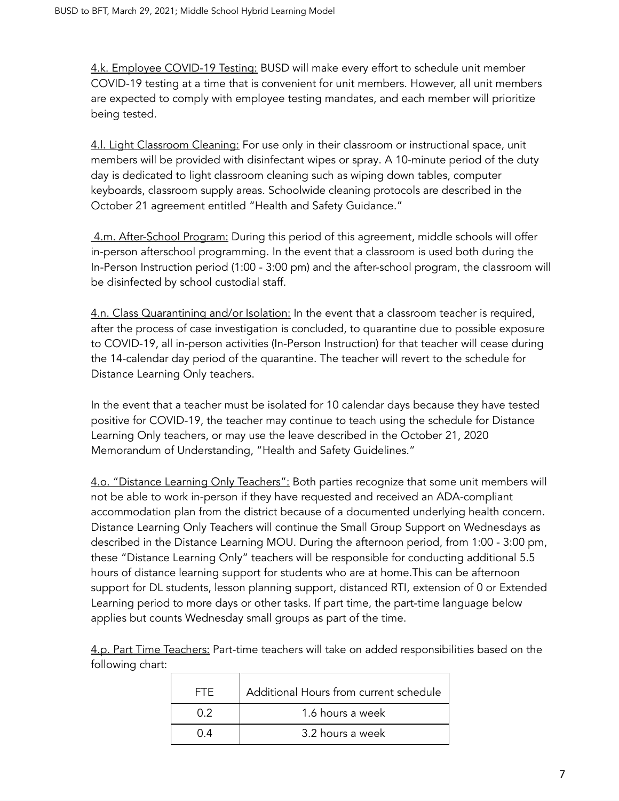4.k. Employee COVID-19 Testing: BUSD will make every effort to schedule unit member COVID-19 testing at a time that is convenient for unit members. However, all unit members are expected to comply with employee testing mandates, and each member will prioritize being tested.

4.l. Light Classroom Cleaning: For use only in their classroom or instructional space, unit members will be provided with disinfectant wipes or spray. A 10-minute period of the duty day is dedicated to light classroom cleaning such as wiping down tables, computer keyboards, classroom supply areas. Schoolwide cleaning protocols are described in the October 21 agreement entitled "Health and Safety Guidance."

4.m. After-School Program: During this period of this agreement, middle schools will offer in-person afterschool programming. In the event that a classroom is used both during the In-Person Instruction period (1:00 - 3:00 pm) and the after-school program, the classroom will be disinfected by school custodial staff.

4.n. Class Quarantining and/or Isolation: In the event that a classroom teacher is required, after the process of case investigation is concluded, to quarantine due to possible exposure to COVID-19, all in-person activities (In-Person Instruction) for that teacher will cease during the 14-calendar day period of the quarantine. The teacher will revert to the schedule for Distance Learning Only teachers.

In the event that a teacher must be isolated for 10 calendar days because they have tested positive for COVID-19, the teacher may continue to teach using the schedule for Distance Learning Only teachers, or may use the leave described in the October 21, 2020 Memorandum of Understanding, "Health and Safety Guidelines."

4.o. "Distance Learning Only Teachers": Both parties recognize that some unit members will not be able to work in-person if they have requested and received an ADA-compliant accommodation plan from the district because of a documented underlying health concern. Distance Learning Only Teachers will continue the Small Group Support on Wednesdays as described in the Distance Learning MOU. During the afternoon period, from 1:00 - 3:00 pm, these "Distance Learning Only" teachers will be responsible for conducting additional 5.5 hours of distance learning support for students who are at home.This can be afternoon support for DL students, lesson planning support, distanced RTI, extension of 0 or Extended Learning period to more days or other tasks. If part time, the part-time language below applies but counts Wednesday small groups as part of the time.

4.p. Part Time Teachers: Part-time teachers will take on added responsibilities based on the following chart:

| FTF. | Additional Hours from current schedule |
|------|----------------------------------------|
| በ 2  | 1.6 hours a week                       |
| በ 4  | 3.2 hours a week                       |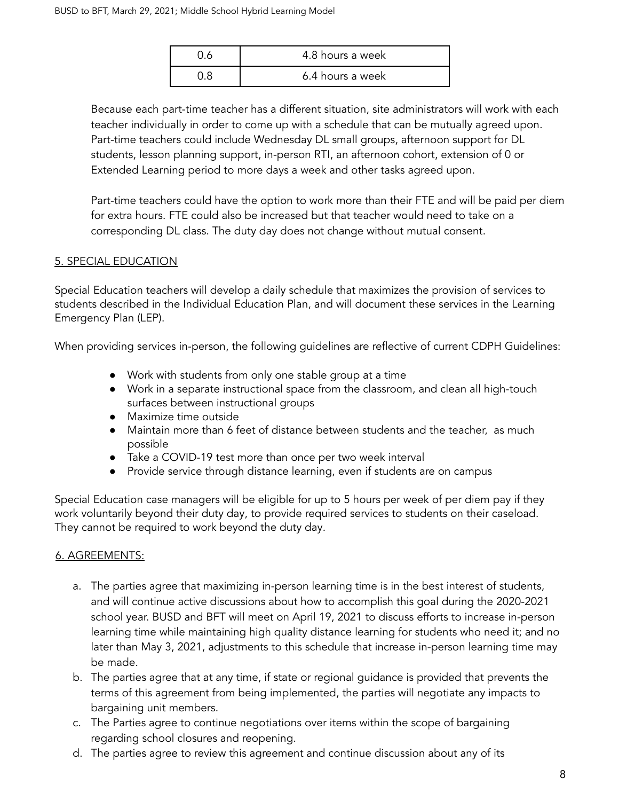| 4.8 hours a week |
|------------------|
| 6.4 hours a week |

Because each part-time teacher has a different situation, site administrators will work with each teacher individually in order to come up with a schedule that can be mutually agreed upon. Part-time teachers could include Wednesday DL small groups, afternoon support for DL students, lesson planning support, in-person RTI, an afternoon cohort, extension of 0 or Extended Learning period to more days a week and other tasks agreed upon.

Part-time teachers could have the option to work more than their FTE and will be paid per diem for extra hours. FTE could also be increased but that teacher would need to take on a corresponding DL class. The duty day does not change without mutual consent.

#### 5. SPECIAL EDUCATION

Special Education teachers will develop a daily schedule that maximizes the provision of services to students described in the Individual Education Plan, and will document these services in the Learning Emergency Plan (LEP).

When providing services in-person, the following guidelines are reflective of current CDPH Guidelines:

- Work with students from only one stable group at a time
- Work in a separate instructional space from the classroom, and clean all high-touch surfaces between instructional groups
- Maximize time outside
- Maintain more than 6 feet of distance between students and the teacher, as much possible
- Take a COVID-19 test more than once per two week interval
- Provide service through distance learning, even if students are on campus

Special Education case managers will be eligible for up to 5 hours per week of per diem pay if they work voluntarily beyond their duty day, to provide required services to students on their caseload. They cannot be required to work beyond the duty day.

#### 6. AGREEMENTS:

- a. The parties agree that maximizing in-person learning time is in the best interest of students, and will continue active discussions about how to accomplish this goal during the 2020-2021 school year. BUSD and BFT will meet on April 19, 2021 to discuss efforts to increase in-person learning time while maintaining high quality distance learning for students who need it; and no later than May 3, 2021, adjustments to this schedule that increase in-person learning time may be made.
- b. The parties agree that at any time, if state or regional guidance is provided that prevents the terms of this agreement from being implemented, the parties will negotiate any impacts to bargaining unit members.
- c. The Parties agree to continue negotiations over items within the scope of bargaining regarding school closures and reopening.
- d. The parties agree to review this agreement and continue discussion about any of its